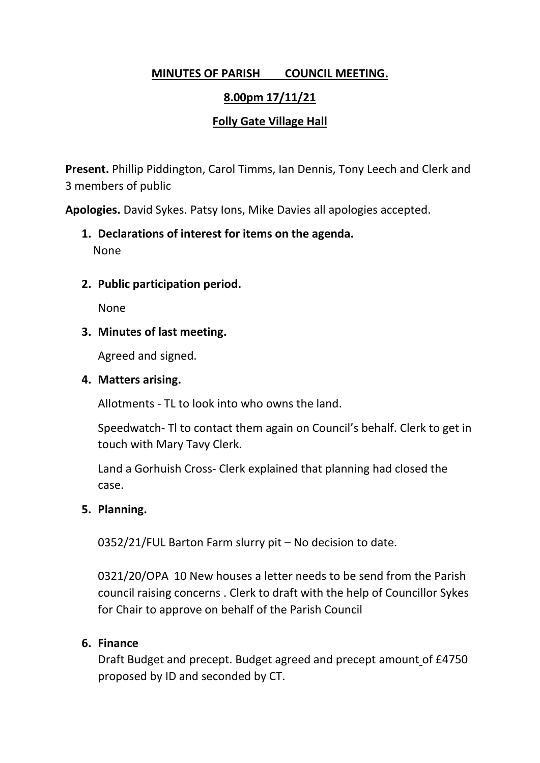## **MINUTES OF PARISH COUNCIL MEETING.**

## **8.00pm 17/11/21**

## **Folly Gate Village Hall**

**Present.** Phillip Piddington, Carol Timms, Ian Dennis, Tony Leech and Clerk and 3 members of public

**Apologies.** David Sykes. Patsy Ions, Mike Davies all apologies accepted.

- **1. Declarations of interest for items on the agenda.** None
- **2. Public participation period.**

None

#### **3. Minutes of last meeting.**

Agreed and signed.

#### **4. Matters arising.**

Allotments - TL to look into who owns the land.

Speedwatch- Tl to contact them again on Council's behalf. Clerk to get in touch with Mary Tavy Clerk.

Land a Gorhuish Cross- Clerk explained that planning had closed the case.

#### **5. Planning.**

0352/21/FUL Barton Farm slurry pit – No decision to date.

0321/20/OPA 10 New houses a letter needs to be send from the Parish council raising concerns . Clerk to draft with the help of Councillor Sykes for Chair to approve on behalf of the Parish Council

#### **6. Finance**

Draft Budget and precept. Budget agreed and precept amount of £4750 proposed by ID and seconded by CT.